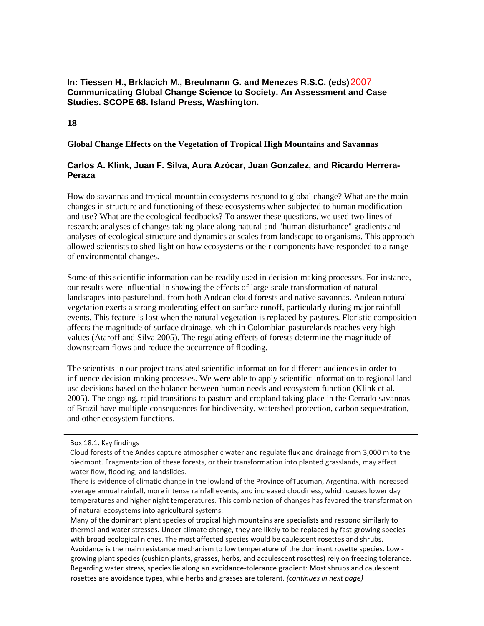# **In: Tiessen H., Brklacich M., Breulmann G. and Menezes R.S.C. (eds)**  2007**Communicating Global Change Science to Society. An Assessment and Case Studies. SCOPE 68. Island Press, Washington.**

#### **18**

## **Global Change Effects on the Vegetation of Tropical High Mountains and Savannas**

# **Carlos A. Klink, Juan F. Silva, Aura Azócar, Juan Gonzalez, and Ricardo Herrera-Peraza**

How do savannas and tropical mountain ecosystems respond to global change? What are the main changes in structure and functioning of these ecosystems when subjected to human modification and use? What are the ecological feedbacks? To answer these questions, we used two lines of research: analyses of changes taking place along natural and "human disturbance" gradients and analyses of ecological structure and dynamics at scales from landscape to organisms. This approach allowed scientists to shed light on how ecosystems or their components have responded to a range of environmental changes.

Some of this scientific information can be readily used in decision-making processes. For instance, our results were influential in showing the effects of large-scale transformation of natural landscapes into pastureland, from both Andean cloud forests and native savannas. Andean natural vegetation exerts a strong moderating effect on surface runoff, particularly during major rainfall events. This feature is lost when the natural vegetation is replaced by pastures. Floristic composition affects the magnitude of surface drainage, which in Colombian pasturelands reaches very high values (Ataroff and Silva 2005). The regulating effects of forests determine the magnitude of downstream flows and reduce the occurrence of flooding.

The scientists in our project translated scientific information for different audiences in order to influence decision-making processes. We were able to apply scientific information to regional land use decisions based on the balance between human needs and ecosystem function (Klink et al. 2005). The ongoing, rapid transitions to pasture and cropland taking place in the Cerrado savannas of Brazil have multiple consequences for biodiversity, watershed protection, carbon sequestration, and other ecosystem functions.

#### Box 18.1. Key findings

Many of the dominant plant species of tropical high mountains are specialists and respond similarly to thermal and water stresses. Under climate change, they are likely to be replaced by fast-growing species with broad ecological niches. The most affected species would be caulescent rosettes and shrubs. Avoidance is the main resistance mechanism to low temperature of the dominant rosette species. Low ‐ growing plant species (cushion plants, grasses, herbs, and acaulescent rosettes) rely on freezing tolerance. Regarding water stress, species lie along an avoidance‐tolerance gradient: Most shrubs and caulescent rosettes are avoidance types, while herbs and grasses are tolerant. *(continues in next page)*

Cloud forests of the Andes capture atmospheric water and regulate flux and drainage from 3,000 m to the piedmont. Fragmentation of these forests, or their transformation into planted grasslands, may affect water flow, flooding, and landslides.

There is evidence of climatic change in the lowland of the Province ofTucuman, Argentina, with increased average annual rainfall, more intense rainfall events, and increased cloudiness, which causes lower day temperatures and higher night temperatures. This combination of changes has favored the transformation of natural ecosystems into agricultural systems.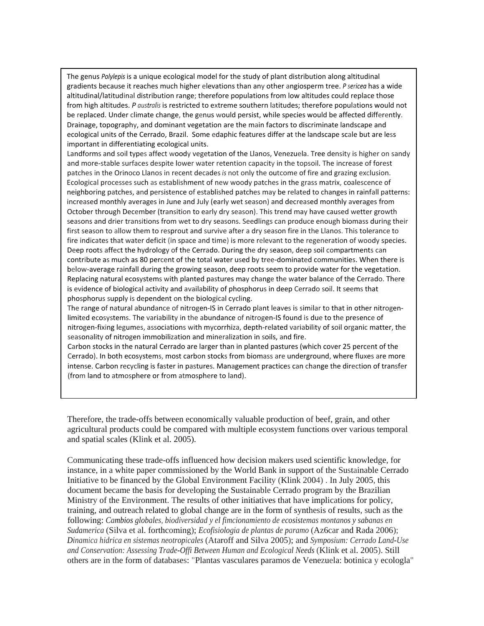The genus *Polylepis* is a unique ecological model for the study of plant distribution along altitudinal gradients because it reaches much higher elevations than any other angiosperm tree. *P sericea* has a wide altitudinal/latitudinal distribution range; therefore populations from low altitudes could replace those from high altitudes. *P australis* is restricted to extreme southern latitudes; therefore populations would not be replaced. Under climate change, the genus would persist, while species would be affected differently. Drainage, topography, and dominant vegetation are the main factors to discriminate landscape and ecological units of the Cerrado, Brazil. Some edaphic features differ at the landscape scale but are less important in differentiating ecological units.

Landforms and soil types affect woody vegetation of the Llanos, Venezuela. Tree density is higher on sandy and more‐stable surfaces despite lower water retention capacity in the topsoil. The increase of forest patches in the Orinoco Llanos in recent decades*is* not only the outcome of fire and grazing exclusion. Ecological processes such as establishment of new woody patches in the grass matrix, coalescence of neighboring patches, and persistence of established patches may be related to changes in rainfall patterns: increased monthly averages in June and July (early wet season) and decreased monthly averages from October through December (transition to early dry season). This trend may have caused wetter growth seasons and drier transitions from wet to dry seasons. Seedlings can produce enough biomass during their first season to allow them to resprout and survive after a dry season fire in the Llanos. This tolerance to fire indicates that water deficit (in space and time) is more relevant to the regeneration of woody species. Deep roots affect the hydrology of the Cerrado. During the dry season, deep soil compartments can contribute as much as 80 percent of the total water used by tree-dominated communities. When there is below‐average rainfall during the growing season, deep roots seem to provide water for the vegetation. Replacing natural ecosystems with planted pastures may change the water balance of the Cerrado. There is evidence of biological activity and availability of phosphorus in deep Cerrado soil. It seems that phosphorus supply is dependent on the biological cycling.

The range of natural abundance of nitrogen-IS in Cerrado plant leaves is similar to that in other nitrogenlimited ecosystems. The variability in the abundance of nitrogen‐IS found is due to the presence of nitrogen‐fixing legumes, associations with mycorrhiza, depth‐related variability of soil organic matter, the seasonality of nitrogen immobilization and mineralization in soils, and fire.

Carbon stocks in the natural Cerrado are larger than in planted pastures (which cover 25 percent of the Cerrado). In both ecosystems, most carbon stocks from biomass are underground, where fluxes are more intense. Carbon recycling is faster in pastures. Management practices can change the direction of transfer (from land to atmosphere or from atmosphere to land).

Therefore, the trade-offs between economically valuable production of beef, grain, and other agricultural products could be compared with multiple ecosystem functions over various temporal and spatial scales (Klink et al. 2005).

Communicating these trade-offs influenced how decision makers used scientific knowledge, for instance, in a white paper commissioned by the World Bank in support of the Sustainable Cerrado Initiative to be financed by the Global Environment Facility (Klink 2004) . In July 2005, this document became the basis for developing the Sustainable Cerrado program by the Brazilian Ministry of the Environment. The results of other initiatives that have implications for policy, training, and outreach related to global change are in the form of synthesis of results, such as the following: *Cambios globales, biodiversidad y el fimcionamiento de ecosistemas montanos y sabanas en Sudamerica* (Silva et al. forthcoming); *Ecofisiologia de plantas de paramo* (Az6car and Rada 2006); *Dinamica hidrica en sistemas neotropicales* (Ataroff and Silva 2005); and *Symposium: Cerrado Land-Use and Conservation: Assessing Trade-Offi Between Human and Ecological Needs* (Klink et al. 2005). Still others are in the form of databases: "Plantas vasculares paramos de Venezuela: botinica y ecologla"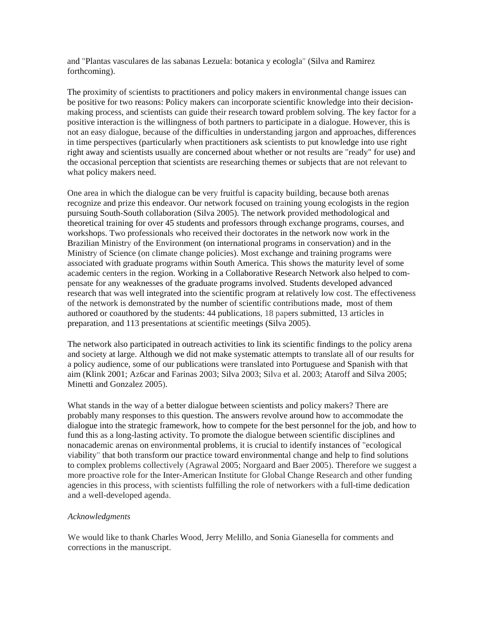and "Plantas vasculares de las sabanas Lezuela: botanica y ecologla" (Silva and Ramirez forthcoming).

The proximity of scientists to practitioners and policy makers in environmental change issues can be positive for two reasons: Policy makers can incorporate scientific knowledge into their decisionmaking process, and scientists can guide their research toward problem solving. The key factor for a positive interaction is the willingness of both partners to participate in a dialogue. However, this is not an easy dialogue, because of the difficulties in understanding jargon and approaches, differences in time perspectives (particularly when practitioners ask scientists to put knowledge into use right right away and scientists usually are concerned about whether or not results are "ready" for use) and the occasional perception that scientists are researching themes or subjects that are not relevant to what policy makers need.

One area in which the dialogue can be very fruitful is capacity building, because both arenas recognize and prize this endeavor. Our network focused on training young ecologists in the region pursuing South-South collaboration (Silva 2005). The network provided methodological and theoretical training for over 45 students and professors through exchange programs, courses, and workshops. Two professionals who received their doctorates in the network now work in the Brazilian Ministry of the Environment (on international programs in conservation) and in the Ministry of Science (on climate change policies). Most exchange and training programs were associated with graduate programs within South America. This shows the maturity level of some academic centers in the region. Working in a Collaborative Research Network also helped to compensate for any weaknesses of the graduate programs involved. Students developed advanced research that was well integrated into the scientific program at relatively low cost. The effectiveness of the network is demonstrated by the number of scientific contributions made, most of them authored or coauthored by the students: 44 publications, 18 papers submitted, 13 articles in preparation, and 113 presentations at scientific meetings (Silva 2005).

The network also participated in outreach activities to link its scientific findings to the policy arena and society at large. Although we did not make systematic attempts to translate all of our results for a policy audience, some of our publications were translated into Portuguese and Spanish with that aim (Klink 2001; Az6car and Farinas 2003; Silva 2003; Silva et al. 2003; Ataroff and Silva 2005; Minetti and Gonzalez 2005).

What stands in the way of a better dialogue between scientists and policy makers? There are probably many responses to this question. The answers revolve around how to accommodate the dialogue into the strategic framework, how to compete for the best personnel for the job, and how to fund this as a long-lasting activity. To promote the dialogue between scientific disciplines and nonacademic arenas on environmental problems, it is crucial to identify instances of "ecological viability" that both transform our practice toward environmental change and help to find solutions to complex problems collectively (Agrawal 2005; Norgaard and Baer 2005). Therefore we suggest a more proactive role for the Inter-American Institute for Global Change Research and other funding agencies in this process, with scientists fulfilling the role of networkers with a full-time dedication and a well-developed agenda.

## *Acknowledgments*

We would like to thank Charles Wood, Jerry Melillo, and Sonia Gianesella for comments and corrections in the manuscript.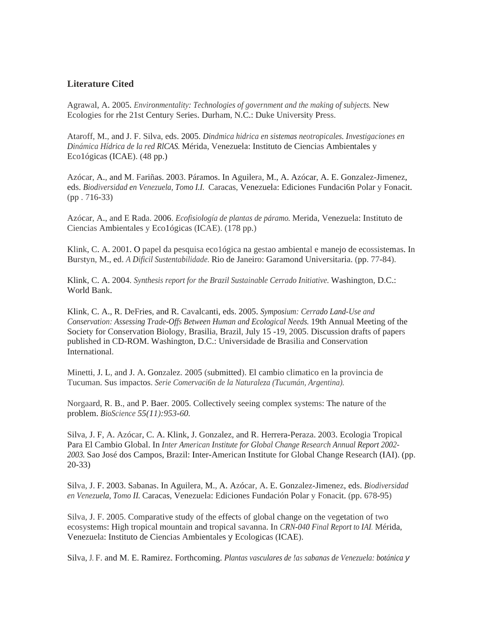## **Literature Cited**

Agrawal, A. 2005. *Environmentality: Technologies of government and the making of subjects.* New Ecologies for rhe 21st Century Series. Durham, N.C.: Duke University Press.

Ataroff, M., and J. F. Silva, eds. 2005. *Dindmica hidrica en sistemas neotropicales. Investigaciones en Dinámica Hídrica de la red RlCAS.* Mérida, Venezuela: Instituto de Ciencias Ambientales y Eco1ógicas (ICAE). (48 pp.)

Azócar, A., and M. Fariñas. 2003. Páramos. In Aguilera, M., A. Azócar, A. E. Gonzalez-Jimenez, eds. *Biodiversidad en Venezuela, Tomo I.I.* Caracas, Venezuela: Ediciones Fundaci6n Polar y Fonacit. (pp . 716-33)

Azócar, A., and E Rada. 2006. *Ecofisiología de plantas de páramo.* Merida, Venezuela: Instituto de Ciencias Ambientales y Eco1ógicas (ICAE). (178 pp.)

Klink, C. A. 2001. O papel da pesquisa eco1ógica na gestao ambiental e manejo de ecossistemas. In Burstyn, M., ed. *A Dificil Sustentabilidade.* Rio de Janeiro: Garamond Universitaria. (pp. 77-84).

Klink, C. A. 2004. *Synthesis report for the Brazil Sustainable Cerrado Initiative.* Washington, D.C.: World Bank.

Klink, C. A., R. DeFries, and R. Cavalcanti, eds. 2005. *Symposium: Cerrado Land-Use and Conservation: Assessing Trade-Offs Between Human and Ecological Needs.* 19th Annual Meeting of the Society for Conservation Biology, Brasilia, Brazil, July 15 -19, 2005. Discussion drafts of papers published in CD-ROM. Washington, D.C.: Universidade de Brasilia and Conservation International.

Minetti, J. L, and J. A. Gonzalez. 2005 (submitted). El cambio climatico en la provincia de Tucuman. Sus impactos. *Serie Comervaci6n de la Naturaleza (Tucumán, Argentina).* 

Norgaard, R. B., and P. Baer. 2005. Collectively seeing complex systems: The nature of the problem. *BioScience 55(11):953-60.* 

Silva, J. F, A. Azócar, C. A. Klink, J. Gonzalez, and R. Herrera-Peraza. 2003. Ecologia Tropical Para El Cambio Global. In *Inter American Institute for Global Change Research Annual Report 2002- 2003.* Sao José dos Campos, Brazil: Inter-American Institute for Global Change Research (IAI). (pp. 20-33)

Silva, J. F. 2003. Sabanas. In Aguilera, M., A. Azócar, A. E. Gonzalez-Jimenez, eds. *Biodiversidad en Venezuela, Tomo II.* Caracas, Venezuela: Ediciones Fundación Polar y Fonacit. (pp. 678-95)

Silva, J. F. 2005. Comparative study of the effects of global change on the vegetation of two ecosystems: High tropical mountain and tropical savanna. In *CRN-040 Final Report to IAI.* Mérida, Venezuela: Instituto de Ciencias Ambientales y Ecologicas (ICAE).

Silva, J. F. and M. E. Ramirez. Forthcoming. *Plantas vasculares de !as sabanas de Venezuela: botánica y*